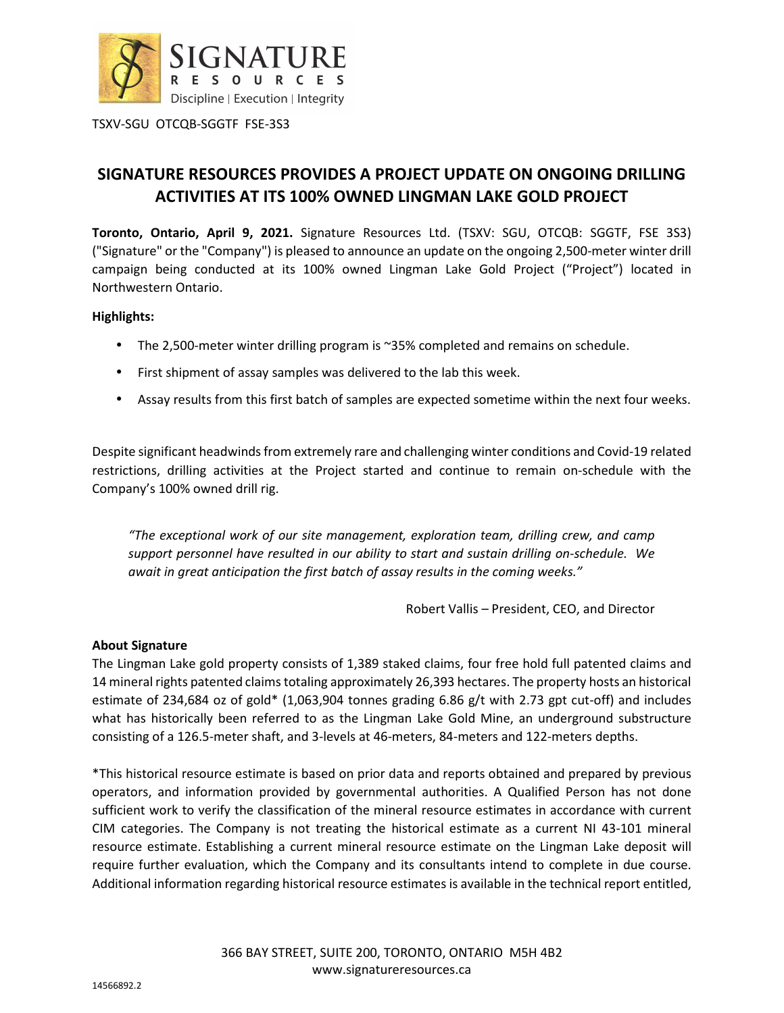

TSXV-SGU OTCQB-SGGTF FSE-3S3

# **SIGNATURE RESOURCES PROVIDES A PROJECT UPDATE ON ONGOING DRILLING ACTIVITIES AT ITS 100% OWNED LINGMAN LAKE GOLD PROJECT**

**Toronto, Ontario, April 9, 2021.** Signature Resources Ltd. (TSXV: SGU, OTCQB: SGGTF, FSE 3S3) ("Signature" or the "Company") is pleased to announce an update on the ongoing 2,500-meter winter drill campaign being conducted at its 100% owned Lingman Lake Gold Project ("Project") located in Northwestern Ontario.

## **Highlights:**

- The 2,500-meter winter drilling program is ~35% completed and remains on schedule.
- First shipment of assay samples was delivered to the lab this week.
- Assay results from this first batch of samples are expected sometime within the next four weeks.

Despite significant headwinds from extremely rare and challenging winter conditions and Covid-19 related restrictions, drilling activities at the Project started and continue to remain on-schedule with the Company's 100% owned drill rig.

*"The exceptional work of our site management, exploration team, drilling crew, and camp support personnel have resulted in our ability to start and sustain drilling on-schedule. We await in great anticipation the first batch of assay results in the coming weeks."* 

Robert Vallis – President, CEO, and Director

## **About Signature**

The Lingman Lake gold property consists of 1,389 staked claims, four free hold full patented claims and 14 mineral rights patented claims totaling approximately 26,393 hectares. The property hosts an historical estimate of 234,684 oz of gold\* (1,063,904 tonnes grading 6.86 g/t with 2.73 gpt cut-off) and includes what has historically been referred to as the Lingman Lake Gold Mine, an underground substructure consisting of a 126.5-meter shaft, and 3-levels at 46-meters, 84-meters and 122-meters depths.

\*This historical resource estimate is based on prior data and reports obtained and prepared by previous operators, and information provided by governmental authorities. A Qualified Person has not done sufficient work to verify the classification of the mineral resource estimates in accordance with current CIM categories. The Company is not treating the historical estimate as a current NI 43-101 mineral resource estimate. Establishing a current mineral resource estimate on the Lingman Lake deposit will require further evaluation, which the Company and its consultants intend to complete in due course. Additional information regarding historical resource estimates is available in the technical report entitled,